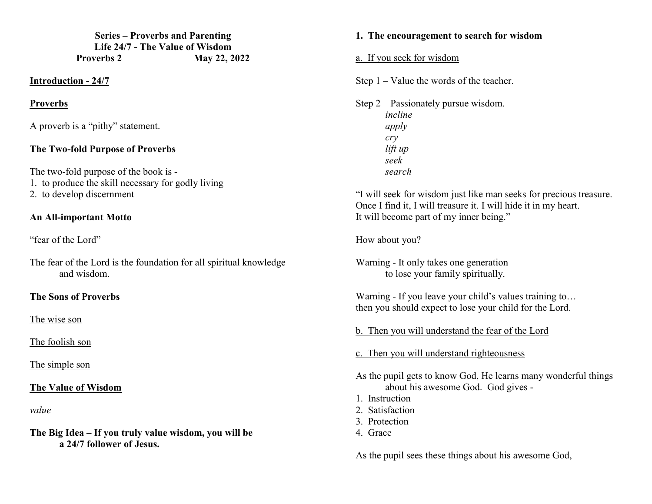**Series – Proverbs and Parenting Life 24/7 - The Value of Wisdom Proverbs 2 May 22, 2022** 

#### **Introduction - 24/7**

#### **Proverbs**

A proverb is a "pithy" statement.

### **The Two-fold Purpose of Proverbs**

The two-fold purpose of the book is -

- 1. to produce the skill necessary for godly living
- 2. to develop discernment

# **An All-important Motto**

"fear of the Lord"

The fear of the Lord is the foundation for all spiritual knowledge and wisdom.

# **The Sons of Proverbs**

The wise son

The foolish son

The simple son

# **The Value of Wisdom**

*value* 

**The Big Idea – If you truly value wisdom, you will be a 24/7 follower of Jesus.** 

#### **1. The encouragement to search for wisdom**

a. If you seek for wisdom

Step 1 – Value the words of the teacher.

Step 2 – Passionately pursue wisdom. *incline apply cry lift up seek search* 

"I will seek for wisdom just like man seeks for precious treasure. Once I find it, I will treasure it. I will hide it in my heart. It will become part of my inner being."

How about you?

Warning - It only takes one generation to lose your family spiritually.

Warning - If you leave your child's values training to... then you should expect to lose your child for the Lord.

b. Then you will understand the fear of the Lord

c. Then you will understand righteousness

As the pupil gets to know God, He learns many wonderful things about his awesome God. God gives -

- 1. Instruction
- 2. Satisfaction
- 3. Protection
- 4. Grace

As the pupil sees these things about his awesome God,